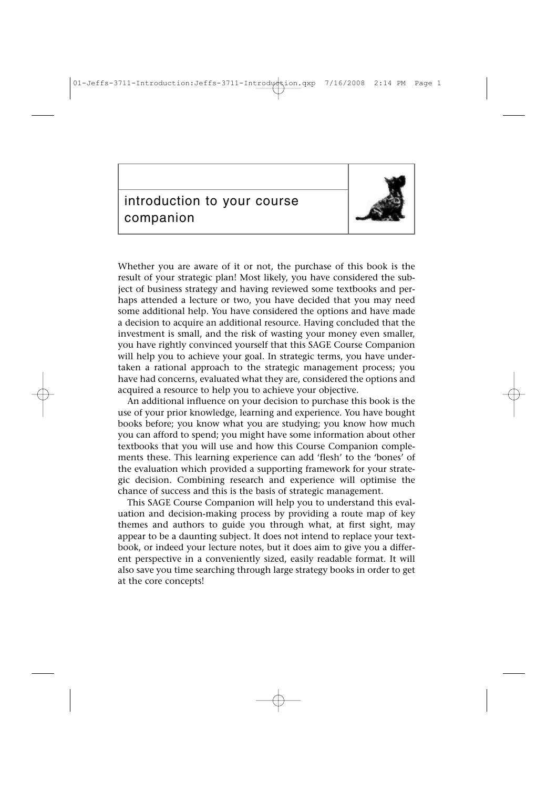01-Jeffs-3711-Introduction:Jeffs-3711-Introduction.qxp 7/16/2008 2:14 PM



Whether you are aware of it or not, the purchase of this book is the result of your strategic plan! Most likely, you have considered the subject of business strategy and having reviewed some textbooks and perhaps attended a lecture or two, you have decided that you may need some additional help. You have considered the options and have made a decision to acquire an additional resource. Having concluded that the investment is small, and the risk of wasting your money even smaller, you have rightly convinced yourself that this SAGE Course Companion will help you to achieve your goal. In strategic terms, you have undertaken a rational approach to the strategic management process; you have had concerns, evaluated what they are, considered the options and acquired a resource to help you to achieve your objective.

An additional influence on your decision to purchase this book is the use of your prior knowledge, learning and experience. You have bought books before; you know what you are studying; you know how much you can afford to spend; you might have some information about other textbooks that you will use and how this Course Companion complements these. This learning experience can add 'flesh' to the 'bones' of the evaluation which provided a supporting framework for your strategic decision. Combining research and experience will optimise the chance of success and this is the basis of strategic management.

This SAGE Course Companion will help you to understand this evaluation and decision-making process by providing a route map of key themes and authors to guide you through what, at first sight, may appear to be a daunting subject. It does not intend to replace your textbook, or indeed your lecture notes, but it does aim to give you a different perspective in a conveniently sized, easily readable format. It will also save you time searching through large strategy books in order to get at the core concepts!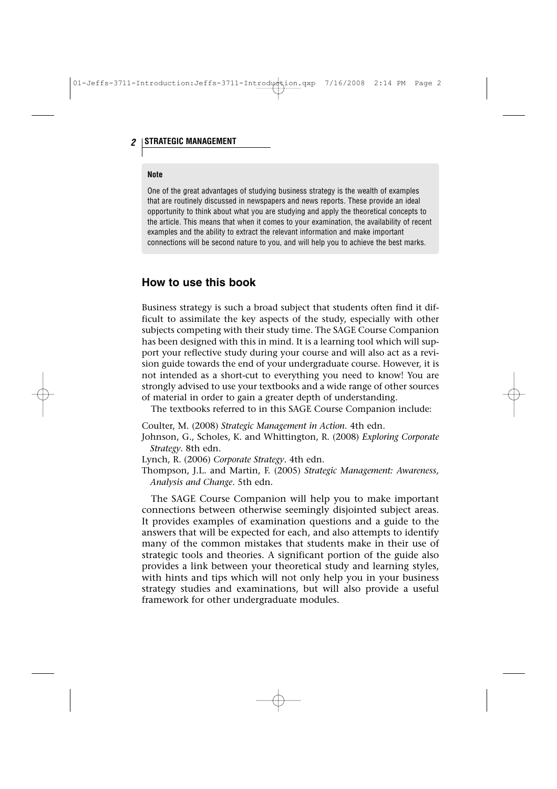## **2 STRATEGIC MANAGEMENT**

#### **Note**

One of the great advantages of studying business strategy is the wealth of examples that are routinely discussed in newspapers and news reports. These provide an ideal opportunity to think about what you are studying and apply the theoretical concepts to the article. This means that when it comes to your examination, the availability of recent examples and the ability to extract the relevant information and make important connections will be second nature to you, and will help you to achieve the best marks.

# **How to use this book**

Business strategy is such a broad subject that students often find it difficult to assimilate the key aspects of the study, especially with other subjects competing with their study time. The SAGE Course Companion has been designed with this in mind. It is a learning tool which will support your reflective study during your course and will also act as a revision guide towards the end of your undergraduate course. However, it is not intended as a short-cut to everything you need to know! You are strongly advised to use your textbooks and a wide range of other sources of material in order to gain a greater depth of understanding.

The textbooks referred to in this SAGE Course Companion include:

Coulter, M. (2008) *Strategic Management in Action*. 4th edn.

Johnson, G., Scholes, K. and Whittington, R. (2008) *Exploring Corporate Strategy*. 8th edn.

Lynch, R. (2006) *Corporate Strategy*. 4th edn.

Thompson, J.L. and Martin, F. (2005) *Strategic Management: Awareness, Analysis and Change*. 5th edn.

The SAGE Course Companion will help you to make important connections between otherwise seemingly disjointed subject areas. It provides examples of examination questions and a guide to the answers that will be expected for each, and also attempts to identify many of the common mistakes that students make in their use of strategic tools and theories. A significant portion of the guide also provides a link between your theoretical study and learning styles, with hints and tips which will not only help you in your business strategy studies and examinations, but will also provide a useful framework for other undergraduate modules.